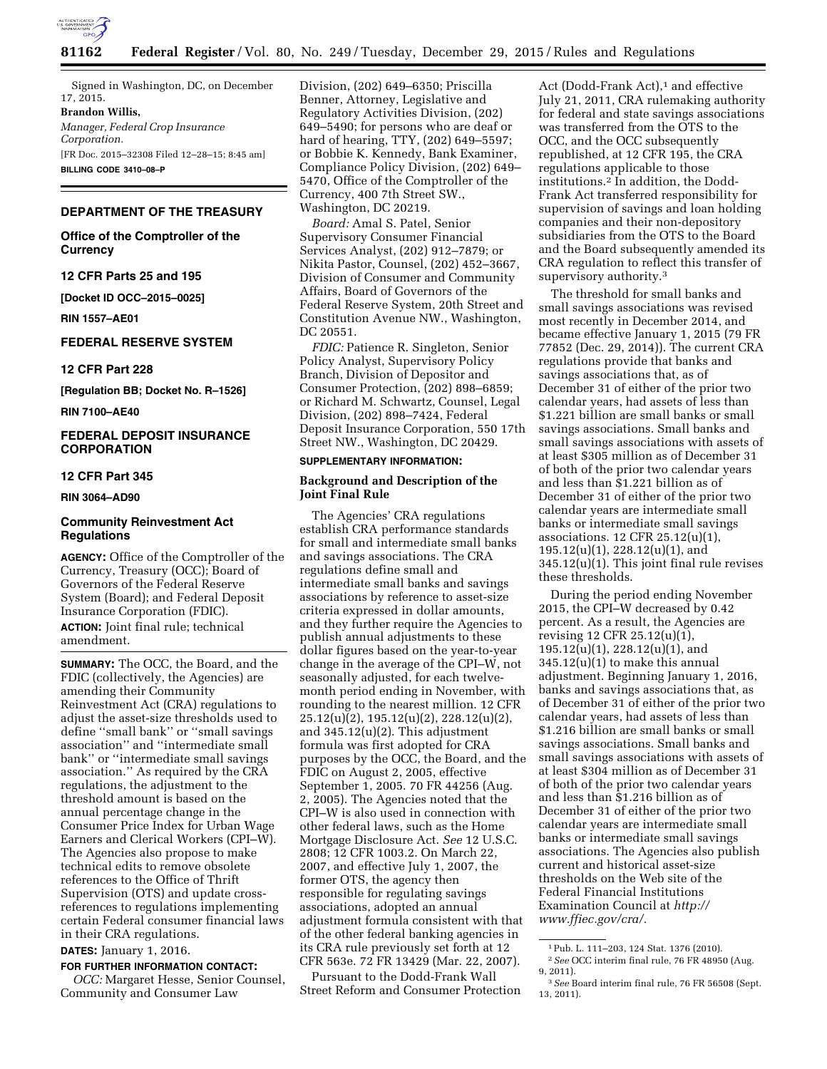

Signed in Washington, DC, on December 17, 2015.

**Brandon Willis,** 

*Manager, Federal Crop Insurance Corporation.* 

[FR Doc. 2015–32308 Filed 12–28–15; 8:45 am] **BILLING CODE 3410–08–P** 

## **DEPARTMENT OF THE TREASURY**

**Office of the Comptroller of the Currency** 

**12 CFR Parts 25 and 195** 

**[Docket ID OCC–2015–0025]** 

**RIN 1557–AE01** 

## **FEDERAL RESERVE SYSTEM**

**12 CFR Part 228** 

**[Regulation BB; Docket No. R–1526]** 

**RIN 7100–AE40** 

## **FEDERAL DEPOSIT INSURANCE CORPORATION**

#### **12 CFR Part 345**

**RIN 3064–AD90** 

### **Community Reinvestment Act Regulations**

**AGENCY:** Office of the Comptroller of the Currency, Treasury (OCC); Board of Governors of the Federal Reserve System (Board); and Federal Deposit Insurance Corporation (FDIC). **ACTION:** Joint final rule; technical amendment.

**SUMMARY:** The OCC, the Board, and the FDIC (collectively, the Agencies) are amending their Community Reinvestment Act (CRA) regulations to adjust the asset-size thresholds used to define ''small bank'' or ''small savings association'' and ''intermediate small bank'' or ''intermediate small savings association.'' As required by the CRA regulations, the adjustment to the threshold amount is based on the annual percentage change in the Consumer Price Index for Urban Wage Earners and Clerical Workers (CPI–W). The Agencies also propose to make technical edits to remove obsolete references to the Office of Thrift Supervision (OTS) and update crossreferences to regulations implementing certain Federal consumer financial laws in their CRA regulations.

**DATES:** January 1, 2016.

**FOR FURTHER INFORMATION CONTACT:**  *OCC:* Margaret Hesse, Senior Counsel, Community and Consumer Law

Division, (202) 649–6350; Priscilla Benner, Attorney, Legislative and Regulatory Activities Division, (202) 649–5490; for persons who are deaf or hard of hearing, TTY, (202) 649–5597; or Bobbie K. Kennedy, Bank Examiner, Compliance Policy Division, (202) 649– 5470, Office of the Comptroller of the Currency, 400 7th Street SW., Washington, DC 20219.

*Board:* Amal S. Patel, Senior Supervisory Consumer Financial Services Analyst, (202) 912–7879; or Nikita Pastor, Counsel, (202) 452–3667, Division of Consumer and Community Affairs, Board of Governors of the Federal Reserve System, 20th Street and Constitution Avenue NW., Washington, DC 20551.

*FDIC:* Patience R. Singleton, Senior Policy Analyst, Supervisory Policy Branch, Division of Depositor and Consumer Protection, (202) 898–6859; or Richard M. Schwartz, Counsel, Legal Division, (202) 898–7424, Federal Deposit Insurance Corporation, 550 17th Street NW., Washington, DC 20429.

# **SUPPLEMENTARY INFORMATION:**

## **Background and Description of the Joint Final Rule**

The Agencies' CRA regulations establish CRA performance standards for small and intermediate small banks and savings associations. The CRA regulations define small and intermediate small banks and savings associations by reference to asset-size criteria expressed in dollar amounts, and they further require the Agencies to publish annual adjustments to these dollar figures based on the year-to-year change in the average of the CPI–W, not seasonally adjusted, for each twelvemonth period ending in November, with rounding to the nearest million. 12 CFR 25.12(u)(2), 195.12(u)(2), 228.12(u)(2), and 345.12(u)(2). This adjustment formula was first adopted for CRA purposes by the OCC, the Board, and the FDIC on August 2, 2005, effective September 1, 2005. 70 FR 44256 (Aug. 2, 2005). The Agencies noted that the CPI–W is also used in connection with other federal laws, such as the Home Mortgage Disclosure Act. *See* 12 U.S.C. 2808; 12 CFR 1003.2. On March 22, 2007, and effective July 1, 2007, the former OTS, the agency then responsible for regulating savings associations, adopted an annual adjustment formula consistent with that of the other federal banking agencies in its CRA rule previously set forth at 12 CFR 563e. 72 FR 13429 (Mar. 22, 2007).

Pursuant to the Dodd-Frank Wall Street Reform and Consumer Protection

Act (Dodd-Frank Act),<sup>1</sup> and effective July 21, 2011, CRA rulemaking authority for federal and state savings associations was transferred from the OTS to the OCC, and the OCC subsequently republished, at 12 CFR 195, the CRA regulations applicable to those institutions.2 In addition, the Dodd-Frank Act transferred responsibility for supervision of savings and loan holding companies and their non-depository subsidiaries from the OTS to the Board and the Board subsequently amended its CRA regulation to reflect this transfer of supervisory authority.3

The threshold for small banks and small savings associations was revised most recently in December 2014, and became effective January 1, 2015 (79 FR 77852 (Dec. 29, 2014)). The current CRA regulations provide that banks and savings associations that, as of December 31 of either of the prior two calendar years, had assets of less than \$1.221 billion are small banks or small savings associations. Small banks and small savings associations with assets of at least \$305 million as of December 31 of both of the prior two calendar years and less than \$1.221 billion as of December 31 of either of the prior two calendar years are intermediate small banks or intermediate small savings associations. 12 CFR 25.12(u)(1), 195.12(u)(1), 228.12(u)(1), and 345.12(u)(1). This joint final rule revises these thresholds.

During the period ending November 2015, the CPI–W decreased by 0.42 percent. As a result, the Agencies are revising 12 CFR 25.12(u)(1), 195.12(u)(1), 228.12(u)(1), and 345.12(u)(1) to make this annual adjustment. Beginning January 1, 2016, banks and savings associations that, as of December 31 of either of the prior two calendar years, had assets of less than \$1.216 billion are small banks or small savings associations. Small banks and small savings associations with assets of at least \$304 million as of December 31 of both of the prior two calendar years and less than \$1.216 billion as of December 31 of either of the prior two calendar years are intermediate small banks or intermediate small savings associations. The Agencies also publish current and historical asset-size thresholds on the Web site of the Federal Financial Institutions Examination Council at *[http://](http://www.ffiec.gov/cra/) [www.ffiec.gov/cra/.](http://www.ffiec.gov/cra/)* 

<sup>1</sup>Pub. L. 111–203, 124 Stat. 1376 (2010).

<sup>2</sup>*See* OCC interim final rule, 76 FR 48950 (Aug. 9, 2011).

<sup>3</sup>*See* Board interim final rule, 76 FR 56508 (Sept. 13, 2011).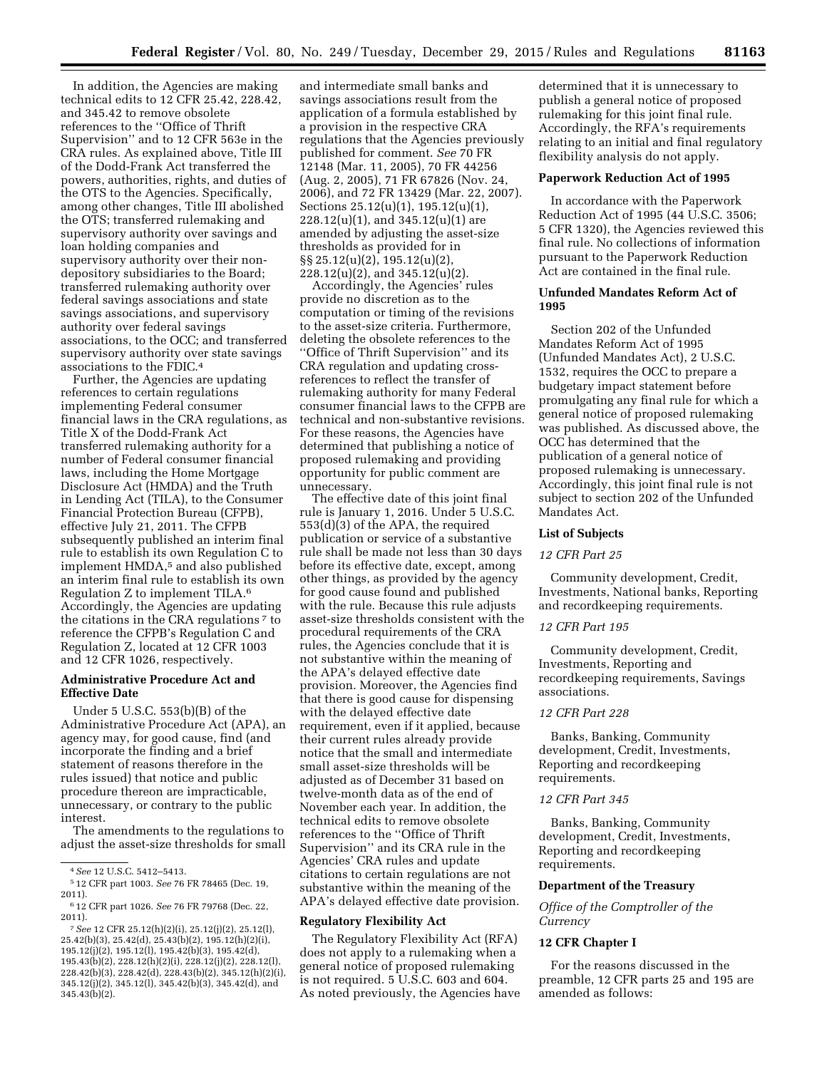In addition, the Agencies are making technical edits to 12 CFR 25.42, 228.42, and 345.42 to remove obsolete references to the ''Office of Thrift Supervision'' and to 12 CFR 563e in the CRA rules. As explained above, Title III of the Dodd-Frank Act transferred the powers, authorities, rights, and duties of the OTS to the Agencies. Specifically, among other changes, Title III abolished the OTS; transferred rulemaking and supervisory authority over savings and loan holding companies and supervisory authority over their nondepository subsidiaries to the Board; transferred rulemaking authority over federal savings associations and state savings associations, and supervisory authority over federal savings associations, to the OCC; and transferred supervisory authority over state savings associations to the FDIC.4

Further, the Agencies are updating references to certain regulations implementing Federal consumer financial laws in the CRA regulations, as Title X of the Dodd-Frank Act transferred rulemaking authority for a number of Federal consumer financial laws, including the Home Mortgage Disclosure Act (HMDA) and the Truth in Lending Act (TILA), to the Consumer Financial Protection Bureau (CFPB), effective July 21, 2011. The CFPB subsequently published an interim final rule to establish its own Regulation C to implement HMDA,<sup>5</sup> and also published an interim final rule to establish its own Regulation Z to implement TILA.6 Accordingly, the Agencies are updating the citations in the CRA regulations 7 to reference the CFPB's Regulation C and Regulation Z, located at 12 CFR 1003 and 12 CFR 1026, respectively.

#### **Administrative Procedure Act and Effective Date**

Under 5 U.S.C. 553(b)(B) of the Administrative Procedure Act (APA), an agency may, for good cause, find (and incorporate the finding and a brief statement of reasons therefore in the rules issued) that notice and public procedure thereon are impracticable, unnecessary, or contrary to the public interest.

The amendments to the regulations to adjust the asset-size thresholds for small

and intermediate small banks and savings associations result from the application of a formula established by a provision in the respective CRA regulations that the Agencies previously published for comment. *See* 70 FR 12148 (Mar. 11, 2005), 70 FR 44256 (Aug. 2, 2005), 71 FR 67826 (Nov. 24, 2006), and 72 FR 13429 (Mar. 22, 2007). Sections 25.12(u)(1), 195.12(u)(1), 228.12(u)(1), and 345.12(u)(1) are amended by adjusting the asset-size thresholds as provided for in §§ 25.12(u)(2), 195.12(u)(2), 228.12(u)(2), and 345.12(u)(2).

Accordingly, the Agencies' rules provide no discretion as to the computation or timing of the revisions to the asset-size criteria. Furthermore, deleting the obsolete references to the ''Office of Thrift Supervision'' and its CRA regulation and updating crossreferences to reflect the transfer of rulemaking authority for many Federal consumer financial laws to the CFPB are technical and non-substantive revisions. For these reasons, the Agencies have determined that publishing a notice of proposed rulemaking and providing opportunity for public comment are unnecessary.

The effective date of this joint final rule is January 1, 2016. Under 5 U.S.C. 553(d)(3) of the APA, the required publication or service of a substantive rule shall be made not less than 30 days before its effective date, except, among other things, as provided by the agency for good cause found and published with the rule. Because this rule adjusts asset-size thresholds consistent with the procedural requirements of the CRA rules, the Agencies conclude that it is not substantive within the meaning of the APA's delayed effective date provision. Moreover, the Agencies find that there is good cause for dispensing with the delayed effective date requirement, even if it applied, because their current rules already provide notice that the small and intermediate small asset-size thresholds will be adjusted as of December 31 based on twelve-month data as of the end of November each year. In addition, the technical edits to remove obsolete references to the ''Office of Thrift Supervision'' and its CRA rule in the Agencies' CRA rules and update citations to certain regulations are not substantive within the meaning of the APA's delayed effective date provision.

#### **Regulatory Flexibility Act**

The Regulatory Flexibility Act (RFA) does not apply to a rulemaking when a general notice of proposed rulemaking is not required. 5 U.S.C. 603 and 604. As noted previously, the Agencies have

determined that it is unnecessary to publish a general notice of proposed rulemaking for this joint final rule. Accordingly, the RFA's requirements relating to an initial and final regulatory flexibility analysis do not apply.

#### **Paperwork Reduction Act of 1995**

In accordance with the Paperwork Reduction Act of 1995 (44 U.S.C. 3506; 5 CFR 1320), the Agencies reviewed this final rule. No collections of information pursuant to the Paperwork Reduction Act are contained in the final rule.

#### **Unfunded Mandates Reform Act of 1995**

Section 202 of the Unfunded Mandates Reform Act of 1995 (Unfunded Mandates Act), 2 U.S.C. 1532, requires the OCC to prepare a budgetary impact statement before promulgating any final rule for which a general notice of proposed rulemaking was published. As discussed above, the OCC has determined that the publication of a general notice of proposed rulemaking is unnecessary. Accordingly, this joint final rule is not subject to section 202 of the Unfunded Mandates Act.

#### **List of Subjects**

#### *12 CFR Part 25*

Community development, Credit, Investments, National banks, Reporting and recordkeeping requirements.

#### *12 CFR Part 195*

Community development, Credit, Investments, Reporting and recordkeeping requirements, Savings associations.

# *12 CFR Part 228*

Banks, Banking, Community development, Credit, Investments, Reporting and recordkeeping requirements.

## *12 CFR Part 345*

Banks, Banking, Community development, Credit, Investments, Reporting and recordkeeping requirements.

#### **Department of the Treasury**

*Office of the Comptroller of the Currency* 

#### **12 CFR Chapter I**

For the reasons discussed in the preamble, 12 CFR parts 25 and 195 are amended as follows:

<sup>4</sup>*See* 12 U.S.C. 5412–5413.

<sup>5</sup> 12 CFR part 1003. *See* 76 FR 78465 (Dec. 19, 2011).

<sup>6</sup> 12 CFR part 1026. *See* 76 FR 79768 (Dec. 22, 2011).

<sup>7</sup>*See* 12 CFR 25.12(h)(2)(i), 25.12(j)(2), 25.12(l), 25.42(b)(3), 25.42(d), 25.43(b)(2), 195.12(h)(2)(i), 195.12(j)(2), 195.12(l), 195.42(b)(3), 195.42(d), 195.43(b)(2), 228.12(h)(2)(i), 228.12(j)(2), 228.12(l), 228.42(b)(3), 228.42(d), 228.43(b)(2), 345.12(h)(2)(i), 345.12(j)(2), 345.12(l), 345.42(b)(3), 345.42(d), and 345.43(b)(2).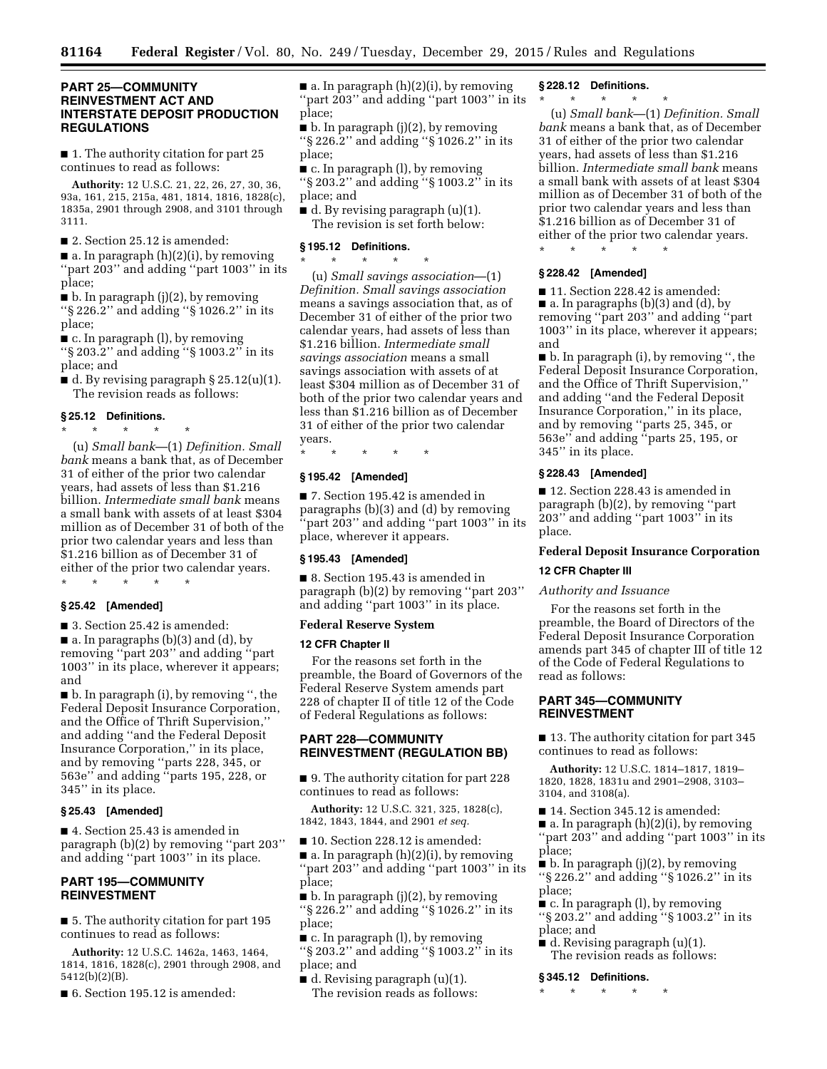## **PART 25—COMMUNITY REINVESTMENT ACT AND INTERSTATE DEPOSIT PRODUCTION REGULATIONS**

■ 1. The authority citation for part 25 continues to read as follows:

**Authority:** 12 U.S.C. 21, 22, 26, 27, 30, 36, 93a, 161, 215, 215a, 481, 1814, 1816, 1828(c), 1835a, 2901 through 2908, and 3101 through 3111.

■ 2. Section 25.12 is amended:

 $\blacksquare$  a. In paragraph  $(h)(2)(i)$ , by removing ''part 203'' and adding ''part 1003'' in its place;

 $\blacksquare$  b. In paragraph (j)(2), by removing ''§ 226.2'' and adding ''§ 1026.2'' in its place;

■ c. In paragraph (l), by removing ''§ 203.2'' and adding ''§ 1003.2'' in its place; and

■ d. By revising paragraph § 25.12(u)(1). The revision reads as follows:

#### **§ 25.12 Definitions.**

\* \* \* \* \*

(u) *Small bank*—(1) *Definition. Small bank* means a bank that, as of December 31 of either of the prior two calendar years, had assets of less than \$1.216 billion. *Intermediate small bank* means a small bank with assets of at least \$304 million as of December 31 of both of the prior two calendar years and less than \$1.216 billion as of December 31 of either of the prior two calendar years.

#### **§ 25.42 [Amended]**

\* \* \* \* \*

■ 3. Section 25.42 is amended:

 $\blacksquare$  a. In paragraphs (b)(3) and (d), by removing ''part 203'' and adding ''part 1003'' in its place, wherever it appears; and

■ b. In paragraph (i), by removing '', the Federal Deposit Insurance Corporation, and the Office of Thrift Supervision,'' and adding ''and the Federal Deposit Insurance Corporation,'' in its place, and by removing ''parts 228, 345, or 563e'' and adding ''parts 195, 228, or 345'' in its place.

#### **§ 25.43 [Amended]**

■ 4. Section 25.43 is amended in paragraph (b)(2) by removing ''part 203'' and adding ''part 1003'' in its place.

## **PART 195—COMMUNITY REINVESTMENT**

■ 5. The authority citation for part 195 continues to read as follows:

**Authority:** 12 U.S.C. 1462a, 1463, 1464, 1814, 1816, 1828(c), 2901 through 2908, and 5412(b)(2)(B).

■ 6. Section 195.12 is amended:

 $\blacksquare$  a. In paragraph  $(h)(2)(i)$ , by removing ''part 203'' and adding ''part 1003'' in its place;

 $\blacksquare$  b. In paragraph (j)(2), by removing ''§ 226.2'' and adding ''§ 1026.2'' in its place;

- c. In paragraph (l), by removing ''§ 203.2'' and adding ''§ 1003.2'' in its
- place; and

■ d. By revising paragraph (u)(1). The revision is set forth below:

#### **§ 195.12 Definitions.**

\* \* \* \* \* (u) *Small savings association*—(1) *Definition. Small savings association*  means a savings association that, as of December 31 of either of the prior two calendar years, had assets of less than \$1.216 billion. *Intermediate small savings association* means a small savings association with assets of at least \$304 million as of December 31 of both of the prior two calendar years and less than \$1.216 billion as of December 31 of either of the prior two calendar years.

\* \* \* \* \*

## **§ 195.42 [Amended]**

■ 7. Section 195.42 is amended in paragraphs (b)(3) and (d) by removing ''part 203'' and adding ''part 1003'' in its place, wherever it appears.

#### **§ 195.43 [Amended]**

■ 8. Section 195.43 is amended in paragraph (b)(2) by removing ''part 203'' and adding ''part 1003'' in its place.

#### **Federal Reserve System**

#### **12 CFR Chapter II**

For the reasons set forth in the preamble, the Board of Governors of the Federal Reserve System amends part 228 of chapter II of title 12 of the Code of Federal Regulations as follows:

## **PART 228—COMMUNITY REINVESTMENT (REGULATION BB)**

■ 9. The authority citation for part 228 continues to read as follows:

**Authority:** 12 U.S.C. 321, 325, 1828(c), 1842, 1843, 1844, and 2901 *et seq.* 

■ 10. Section 228.12 is amended:  $\blacksquare$  a. In paragraph  $(h)(2)(i)$ , by removing ''part 203'' and adding ''part 1003'' in its place;

■ b. In paragraph (j)(2), by removing ''§ 226.2'' and adding ''§ 1026.2'' in its place;

■ c. In paragraph (l), by removing

''§ 203.2'' and adding ''§ 1003.2'' in its place; and

 $\blacksquare$  d. Revising paragraph (u)(1). The revision reads as follows:

#### **§ 228.12 Definitions.**

\* \* \* \* \*

(u) *Small bank*—(1) *Definition. Small bank* means a bank that, as of December 31 of either of the prior two calendar years, had assets of less than \$1.216 billion. *Intermediate small bank* means a small bank with assets of at least \$304 million as of December 31 of both of the prior two calendar years and less than \$1.216 billion as of December 31 of either of the prior two calendar years.

\* \* \* \* \*

## **§ 228.42 [Amended]**

■ 11. Section 228.42 is amended: ■ a. In paragraphs (b)(3) and (d), by removing ''part 203'' and adding ''part 1003'' in its place, wherever it appears; and

■ b. In paragraph (i), by removing '', the Federal Deposit Insurance Corporation, and the Office of Thrift Supervision,'' and adding ''and the Federal Deposit Insurance Corporation,'' in its place, and by removing ''parts 25, 345, or 563e'' and adding ''parts 25, 195, or 345'' in its place.

#### **§ 228.43 [Amended]**

■ 12. Section 228.43 is amended in paragraph (b)(2), by removing ''part 203'' and adding ''part 1003'' in its place.

#### **Federal Deposit Insurance Corporation**

#### **12 CFR Chapter III**

#### *Authority and Issuance*

For the reasons set forth in the preamble, the Board of Directors of the Federal Deposit Insurance Corporation amends part 345 of chapter III of title 12 of the Code of Federal Regulations to read as follows:

# **PART 345—COMMUNITY REINVESTMENT**

■ 13. The authority citation for part 345 continues to read as follows:

**Authority:** 12 U.S.C. 1814–1817, 1819– 1820, 1828, 1831u and 2901–2908, 3103– 3104, and 3108(a).

■ 14. Section 345.12 is amended:

■ a. In paragraph (h)(2)(i), by removing ''part 203'' and adding ''part 1003'' in its place;

 $\blacksquare$  b. In paragraph (j)(2), by removing ''§ 226.2'' and adding ''§ 1026.2'' in its place;

■ c. In paragraph (l), by removing

- ''§ 203.2'' and adding ''§ 1003.2'' in its place; and
- d. Revising paragraph (u)(1). The revision reads as follows:

#### **§ 345.12 Definitions.**

\* \* \* \* \*